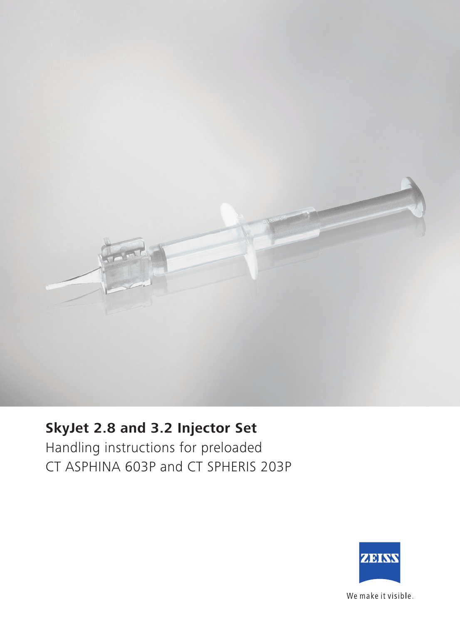

## **SkyJet 2.8 and 3.2 Injector Set**

Handling instructions for preloaded CT ASPHINA 603P and CT SPHERIS 203P



We make it visible.